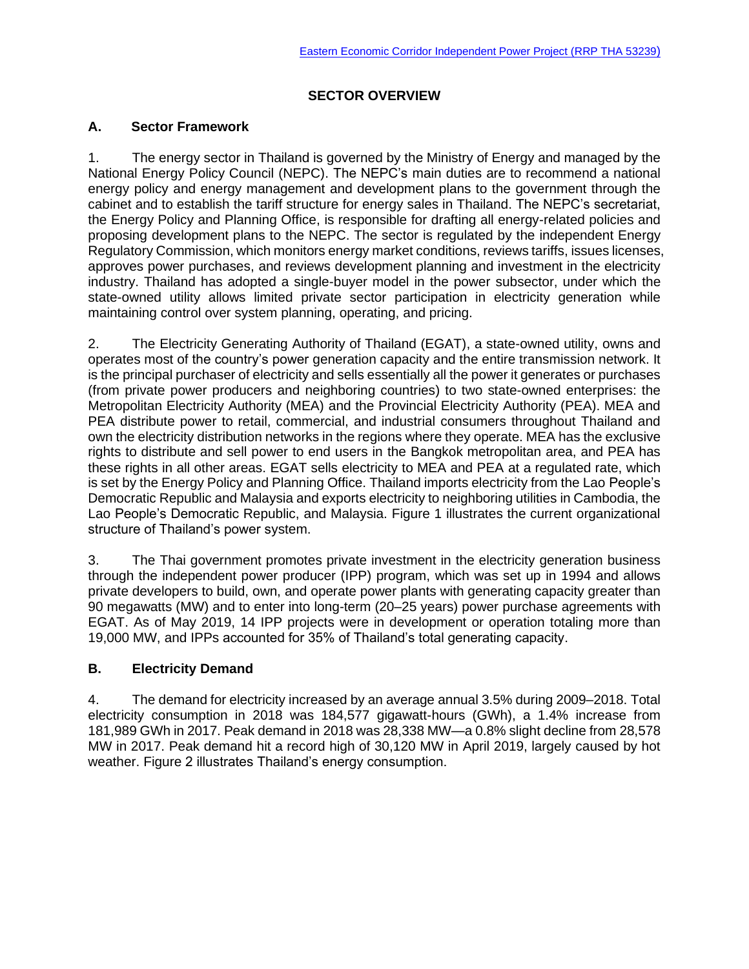# **SECTOR OVERVIEW**

## **A. Sector Framework**

1. The energy sector in Thailand is governed by the Ministry of Energy and managed by the National Energy Policy Council (NEPC). The NEPC's main duties are to recommend a national energy policy and energy management and development plans to the government through the cabinet and to establish the tariff structure for energy sales in Thailand. The NEPC's secretariat, the Energy Policy and Planning Office, is responsible for drafting all energy-related policies and proposing development plans to the NEPC. The sector is regulated by the independent Energy Regulatory Commission, which monitors energy market conditions, reviews tariffs, issues licenses, approves power purchases, and reviews development planning and investment in the electricity industry. Thailand has adopted a single-buyer model in the power subsector, under which the state-owned utility allows limited private sector participation in electricity generation while maintaining control over system planning, operating, and pricing.

2. The Electricity Generating Authority of Thailand (EGAT), a state-owned utility, owns and operates most of the country's power generation capacity and the entire transmission network. It is the principal purchaser of electricity and sells essentially all the power it generates or purchases (from private power producers and neighboring countries) to two state-owned enterprises: the Metropolitan Electricity Authority (MEA) and the Provincial Electricity Authority (PEA). MEA and PEA distribute power to retail, commercial, and industrial consumers throughout Thailand and own the electricity distribution networks in the regions where they operate. MEA has the exclusive rights to distribute and sell power to end users in the Bangkok metropolitan area, and PEA has these rights in all other areas. EGAT sells electricity to MEA and PEA at a regulated rate, which is set by the Energy Policy and Planning Office. Thailand imports electricity from the Lao People's Democratic Republic and Malaysia and exports electricity to neighboring utilities in Cambodia, the Lao People's Democratic Republic, and Malaysia. Figure 1 illustrates the current organizational structure of Thailand's power system.

3. The Thai government promotes private investment in the electricity generation business through the independent power producer (IPP) program, which was set up in 1994 and allows private developers to build, own, and operate power plants with generating capacity greater than 90 megawatts (MW) and to enter into long-term (20–25 years) power purchase agreements with EGAT. As of May 2019, 14 IPP projects were in development or operation totaling more than 19,000 MW, and IPPs accounted for 35% of Thailand's total generating capacity.

## **B. Electricity Demand**

4. The demand for electricity increased by an average annual 3.5% during 2009–2018. Total electricity consumption in 2018 was 184,577 gigawatt-hours (GWh), a 1.4% increase from 181,989 GWh in 2017. Peak demand in 2018 was 28,338 MW—a 0.8% slight decline from 28,578 MW in 2017. Peak demand hit a record high of 30,120 MW in April 2019, largely caused by hot weather. Figure 2 illustrates Thailand's energy consumption.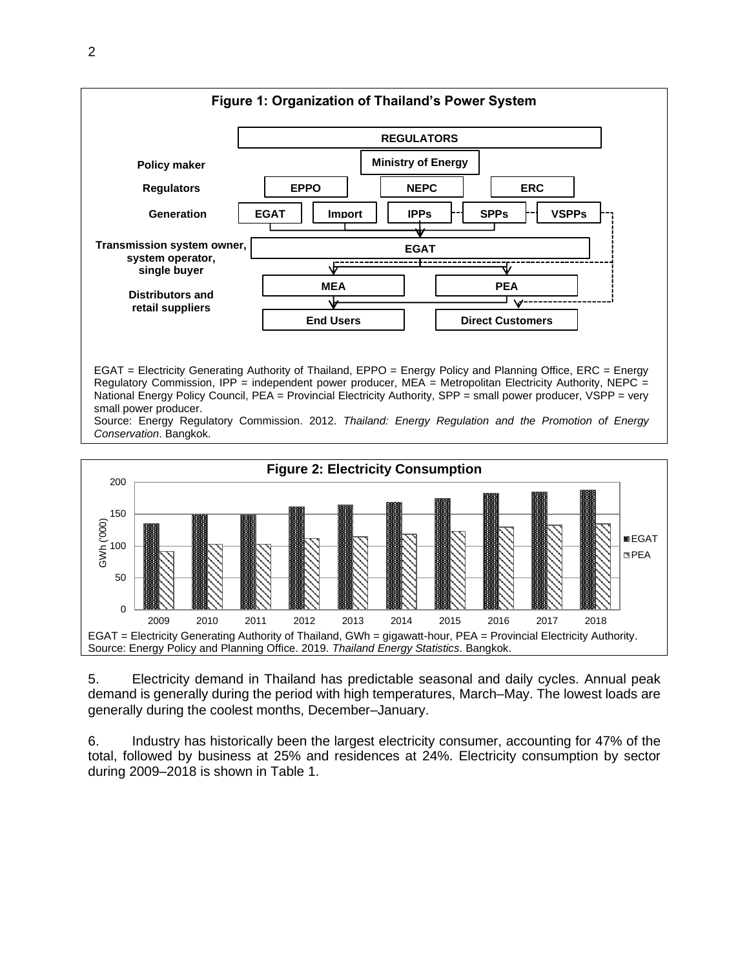



5. Electricity demand in Thailand has predictable seasonal and daily cycles. Annual peak demand is generally during the period with high temperatures, March–May. The lowest loads are generally during the coolest months, December–January.

6. Industry has historically been the largest electricity consumer, accounting for 47% of the total, followed by business at 25% and residences at 24%. Electricity consumption by sector during 2009–2018 is shown in Table 1.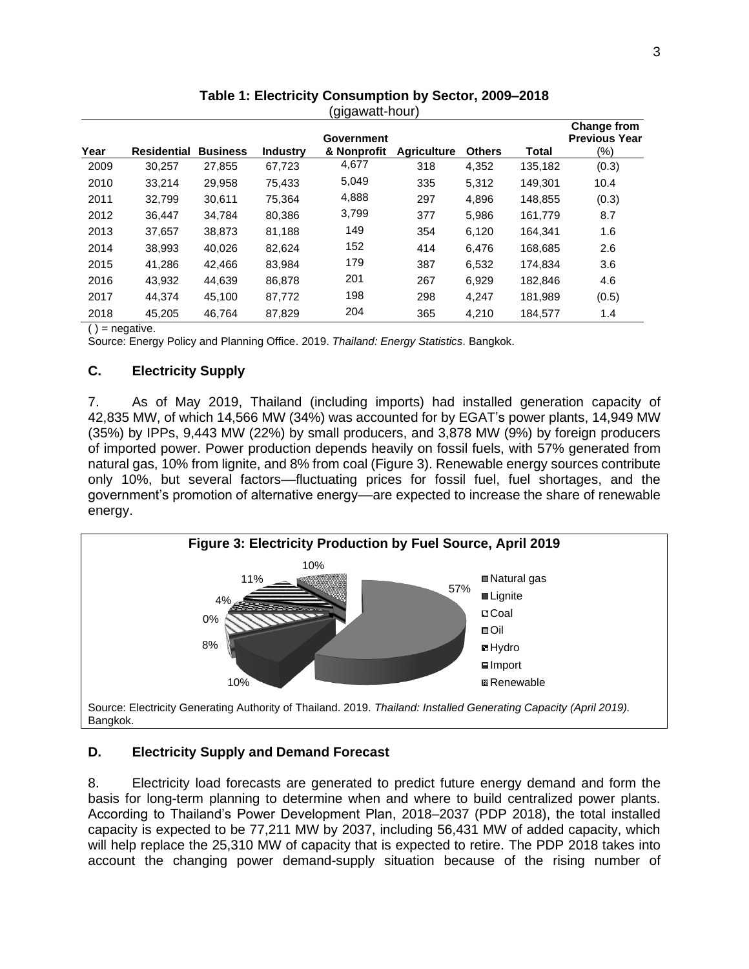| Year | <b>Residential</b> | <b>Business</b> | <b>Industry</b> | ົ∿ບ ບ⊺<br>Government<br>& Nonprofit | <b>Agriculture</b> | <b>Others</b> | <b>Total</b> | <b>Change from</b><br><b>Previous Year</b><br>(%) |
|------|--------------------|-----------------|-----------------|-------------------------------------|--------------------|---------------|--------------|---------------------------------------------------|
| 2009 | 30.257             | 27.855          | 67,723          | 4,677                               | 318                | 4,352         | 135,182      | (0.3)                                             |
| 2010 | 33.214             | 29.958          | 75.433          | 5,049                               | 335                | 5,312         | 149.301      | 10.4                                              |
| 2011 | 32.799             | 30.611          | 75.364          | 4,888                               | 297                | 4.896         | 148.855      | (0.3)                                             |
| 2012 | 36.447             | 34,784          | 80.386          | 3,799                               | 377                | 5,986         | 161,779      | 8.7                                               |
| 2013 | 37,657             | 38.873          | 81,188          | 149                                 | 354                | 6,120         | 164.341      | 1.6                                               |
| 2014 | 38,993             | 40,026          | 82,624          | 152                                 | 414                | 6,476         | 168,685      | 2.6                                               |
| 2015 | 41,286             | 42.466          | 83,984          | 179                                 | 387                | 6,532         | 174.834      | 3.6                                               |
| 2016 | 43.932             | 44.639          | 86,878          | 201                                 | 267                | 6,929         | 182.846      | 4.6                                               |
| 2017 | 44.374             | 45.100          | 87,772          | 198                                 | 298                | 4.247         | 181.989      | (0.5)                                             |
| 2018 | 45.205             | 46.764          | 87,829          | 204                                 | 365                | 4,210         | 184,577      | 1.4                                               |

**Table 1: Electricity Consumption by Sector, 2009–2018** (gigawatt-hour)

 $()$  = negative.

Source: Energy Policy and Planning Office. 2019. *Thailand: Energy Statistics*. Bangkok.

## **C. Electricity Supply**

7. As of May 2019, Thailand (including imports) had installed generation capacity of 42,835 MW, of which 14,566 MW (34%) was accounted for by EGAT's power plants, 14,949 MW (35%) by IPPs, 9,443 MW (22%) by small producers, and 3,878 MW (9%) by foreign producers of imported power. Power production depends heavily on fossil fuels, with 57% generated from natural gas, 10% from lignite, and 8% from coal (Figure 3). Renewable energy sources contribute only 10%, but several factors––fluctuating prices for fossil fuel, fuel shortages, and the government's promotion of alternative energy––are expected to increase the share of renewable energy.



## **D. Electricity Supply and Demand Forecast**

8. Electricity load forecasts are generated to predict future energy demand and form the basis for long-term planning to determine when and where to build centralized power plants. According to Thailand's Power Development Plan, 2018–2037 (PDP 2018), the total installed capacity is expected to be 77,211 MW by 2037, including 56,431 MW of added capacity, which will help replace the 25,310 MW of capacity that is expected to retire. The PDP 2018 takes into account the changing power demand-supply situation because of the rising number of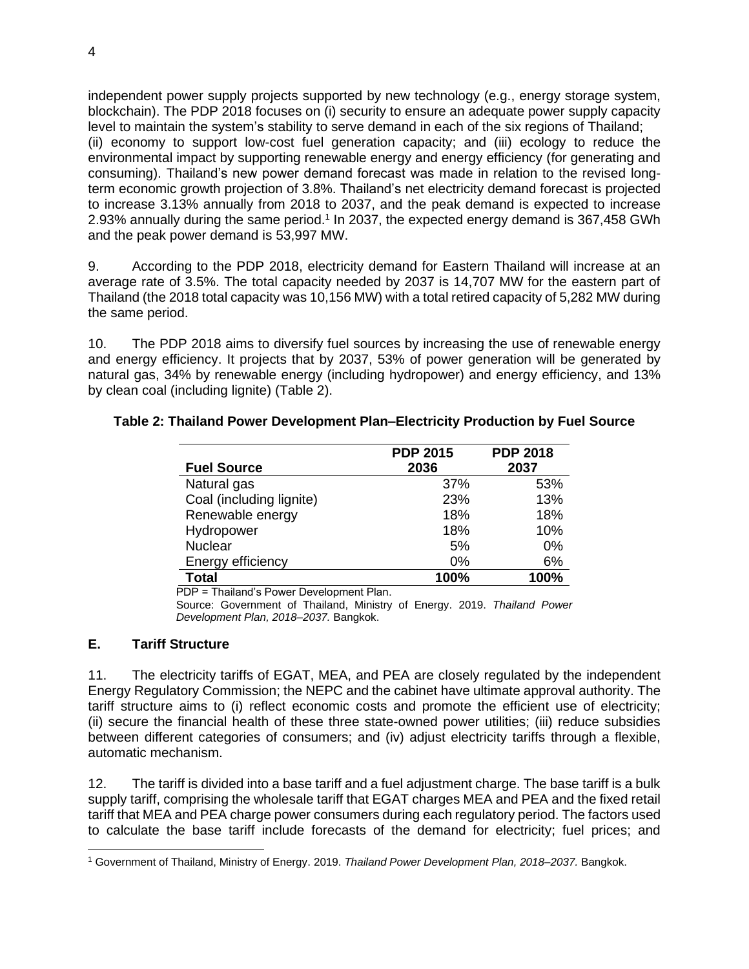independent power supply projects supported by new technology (e.g., energy storage system, blockchain). The PDP 2018 focuses on (i) security to ensure an adequate power supply capacity level to maintain the system's stability to serve demand in each of the six regions of Thailand; (ii) economy to support low-cost fuel generation capacity; and (iii) ecology to reduce the environmental impact by supporting renewable energy and energy efficiency (for generating and consuming). Thailand's new power demand forecast was made in relation to the revised longterm economic growth projection of 3.8%. Thailand's net electricity demand forecast is projected to increase 3.13% annually from 2018 to 2037, and the peak demand is expected to increase 2.93% annually during the same period.<sup>1</sup> In 2037, the expected energy demand is 367,458 GWh and the peak power demand is 53,997 MW.

9. According to the PDP 2018, electricity demand for Eastern Thailand will increase at an average rate of 3.5%. The total capacity needed by 2037 is 14,707 MW for the eastern part of Thailand (the 2018 total capacity was 10,156 MW) with a total retired capacity of 5,282 MW during the same period.

10. The PDP 2018 aims to diversify fuel sources by increasing the use of renewable energy and energy efficiency. It projects that by 2037, 53% of power generation will be generated by natural gas, 34% by renewable energy (including hydropower) and energy efficiency, and 13% by clean coal (including lignite) (Table 2).

|                          | <b>PDP 2015</b> | <b>PDP 2018</b> |
|--------------------------|-----------------|-----------------|
| <b>Fuel Source</b>       | 2036            | 2037            |
| Natural gas              | 37%             | 53%             |
| Coal (including lignite) | 23%             | 13%             |
| Renewable energy         | 18%             | 18%             |
| Hydropower               | 18%             | 10%             |
| <b>Nuclear</b>           | 5%              | 0%              |
| Energy efficiency        | $0\%$           | 6%              |
| <b>Total</b>             | 100%            | 100%            |

#### **Table 2: Thailand Power Development Plan–Electricity Production by Fuel Source**

PDP = Thailand's Power Development Plan.

Source: Government of Thailand, Ministry of Energy. 2019. *Thailand Power Development Plan, 2018–2037.* Bangkok.

## **E. Tariff Structure**

11. The electricity tariffs of EGAT, MEA, and PEA are closely regulated by the independent Energy Regulatory Commission; the NEPC and the cabinet have ultimate approval authority. The tariff structure aims to (i) reflect economic costs and promote the efficient use of electricity; (ii) secure the financial health of these three state-owned power utilities; (iii) reduce subsidies between different categories of consumers; and (iv) adjust electricity tariffs through a flexible, automatic mechanism.

12. The tariff is divided into a base tariff and a fuel adjustment charge. The base tariff is a bulk supply tariff, comprising the wholesale tariff that EGAT charges MEA and PEA and the fixed retail tariff that MEA and PEA charge power consumers during each regulatory period. The factors used to calculate the base tariff include forecasts of the demand for electricity; fuel prices; and

<sup>1</sup> Government of Thailand, Ministry of Energy. 2019. *Thailand Power Development Plan, 2018–2037.* Bangkok.